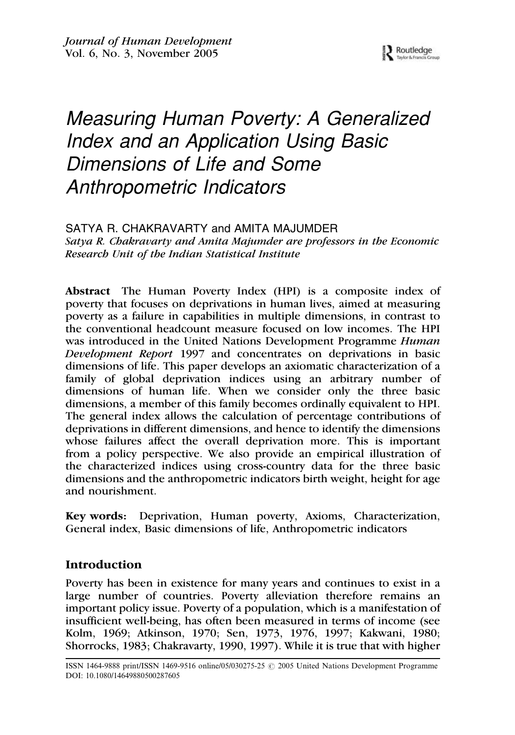

# Measuring Human Poverty: A Generalized Index and an Application Using Basic Dimensions of Life and Some Anthropometric Indicators

# SATYA R. CHAKRAVARTY and AMITA MAJUMDER

Satya R. Chakravarty and Amita Majumder are professors in the Economic Research Unit of the Indian Statistical Institute

Abstract The Human Poverty Index (HPI) is a composite index of poverty that focuses on deprivations in human lives, aimed at measuring poverty as a failure in capabilities in multiple dimensions, in contrast to the conventional headcount measure focused on low incomes. The HPI was introduced in the United Nations Development Programme Human Development Report 1997 and concentrates on deprivations in basic dimensions of life. This paper develops an axiomatic characterization of a family of global deprivation indices using an arbitrary number of dimensions of human life. When we consider only the three basic dimensions, a member of this family becomes ordinally equivalent to HPI. The general index allows the calculation of percentage contributions of deprivations in different dimensions, and hence to identify the dimensions whose failures affect the overall deprivation more. This is important from a policy perspective. We also provide an empirical illustration of the characterized indices using cross-country data for the three basic dimensions and the anthropometric indicators birth weight, height for age and nourishment.

Key words: Deprivation, Human poverty, Axioms, Characterization, General index, Basic dimensions of life, Anthropometric indicators

# Introduction

Poverty has been in existence for many years and continues to exist in a large number of countries. Poverty alleviation therefore remains an important policy issue. Poverty of a population, which is a manifestation of insufficient well-being, has often been measured in terms of income (see Kolm, 1969; Atkinson, 1970; Sen, 1973, 1976, 1997; Kakwani, 1980; Shorrocks, 1983; Chakravarty, 1990, 1997). While it is true that with higher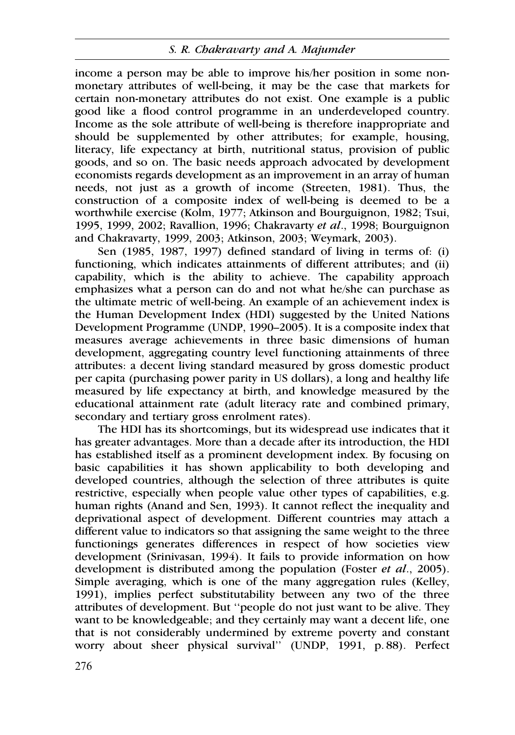income a person may be able to improve his/her position in some nonmonetary attributes of well-being, it may be the case that markets for certain non-monetary attributes do not exist. One example is a public good like a flood control programme in an underdeveloped country. Income as the sole attribute of well-being is therefore inappropriate and should be supplemented by other attributes; for example, housing, literacy, life expectancy at birth, nutritional status, provision of public goods, and so on. The basic needs approach advocated by development economists regards development as an improvement in an array of human needs, not just as a growth of income (Streeten, 1981). Thus, the construction of a composite index of well-being is deemed to be a worthwhile exercise (Kolm, 1977; Atkinson and Bourguignon, 1982; Tsui, 1995, 1999, 2002; Ravallion, 1996; Chakravarty et al., 1998; Bourguignon and Chakravarty, 1999, 2003; Atkinson, 2003; Weymark, 2003).

Sen (1985, 1987, 1997) defined standard of living in terms of: (i) functioning, which indicates attainments of different attributes; and (ii) capability, which is the ability to achieve. The capability approach emphasizes what a person can do and not what he/she can purchase as the ultimate metric of well-being. An example of an achievement index is the Human Development Index (HDI) suggested by the United Nations Development Programme (UNDP, 1990–2005). It is a composite index that measures average achievements in three basic dimensions of human development, aggregating country level functioning attainments of three attributes: a decent living standard measured by gross domestic product per capita (purchasing power parity in US dollars), a long and healthy life measured by life expectancy at birth, and knowledge measured by the educational attainment rate (adult literacy rate and combined primary, secondary and tertiary gross enrolment rates).

The HDI has its shortcomings, but its widespread use indicates that it has greater advantages. More than a decade after its introduction, the HDI has established itself as a prominent development index. By focusing on basic capabilities it has shown applicability to both developing and developed countries, although the selection of three attributes is quite restrictive, especially when people value other types of capabilities, e.g. human rights (Anand and Sen, 1993). It cannot reflect the inequality and deprivational aspect of development. Different countries may attach a different value to indicators so that assigning the same weight to the three functionings generates differences in respect of how societies view development (Srinivasan, 1994). It fails to provide information on how development is distributed among the population (Foster *et al.*, 2005). Simple averaging, which is one of the many aggregation rules (Kelley, 1991), implies perfect substitutability between any two of the three attributes of development. But ''people do not just want to be alive. They want to be knowledgeable; and they certainly may want a decent life, one that is not considerably undermined by extreme poverty and constant worry about sheer physical survival'' (UNDP, 1991, p. 88). Perfect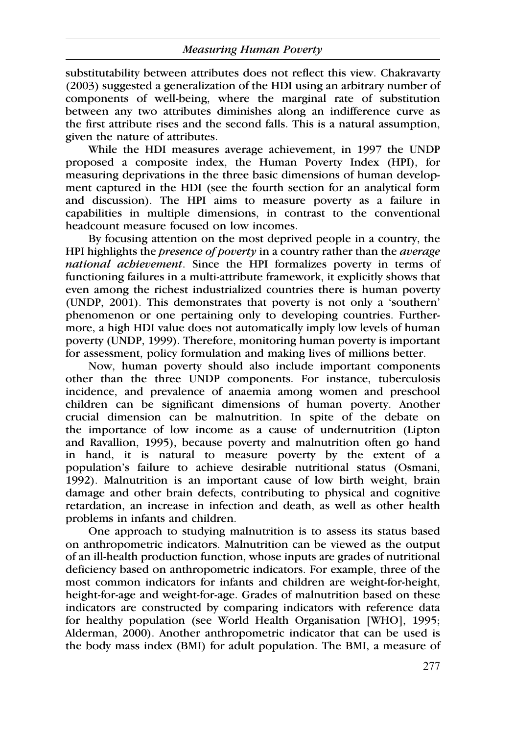substitutability between attributes does not reflect this view. Chakravarty (2003) suggested a generalization of the HDI using an arbitrary number of components of well-being, where the marginal rate of substitution between any two attributes diminishes along an indifference curve as the first attribute rises and the second falls. This is a natural assumption, given the nature of attributes.

While the HDI measures average achievement, in 1997 the UNDP proposed a composite index, the Human Poverty Index (HPI), for measuring deprivations in the three basic dimensions of human development captured in the HDI (see the fourth section for an analytical form and discussion). The HPI aims to measure poverty as a failure in capabilities in multiple dimensions, in contrast to the conventional headcount measure focused on low incomes.

By focusing attention on the most deprived people in a country, the HPI highlights the *presence of poverty* in a country rather than the *average* national achievement. Since the HPI formalizes poverty in terms of functioning failures in a multi-attribute framework, it explicitly shows that even among the richest industrialized countries there is human poverty (UNDP, 2001). This demonstrates that poverty is not only a 'southern' phenomenon or one pertaining only to developing countries. Furthermore, a high HDI value does not automatically imply low levels of human poverty (UNDP, 1999). Therefore, monitoring human poverty is important for assessment, policy formulation and making lives of millions better.

Now, human poverty should also include important components other than the three UNDP components. For instance, tuberculosis incidence, and prevalence of anaemia among women and preschool children can be significant dimensions of human poverty. Another crucial dimension can be malnutrition. In spite of the debate on the importance of low income as a cause of undernutrition (Lipton and Ravallion, 1995), because poverty and malnutrition often go hand in hand, it is natural to measure poverty by the extent of a population's failure to achieve desirable nutritional status (Osmani, 1992). Malnutrition is an important cause of low birth weight, brain damage and other brain defects, contributing to physical and cognitive retardation, an increase in infection and death, as well as other health problems in infants and children.

One approach to studying malnutrition is to assess its status based on anthropometric indicators. Malnutrition can be viewed as the output of an ill-health production function, whose inputs are grades of nutritional deficiency based on anthropometric indicators. For example, three of the most common indicators for infants and children are weight-for-height, height-for-age and weight-for-age. Grades of malnutrition based on these indicators are constructed by comparing indicators with reference data for healthy population (see World Health Organisation [WHO], 1995; Alderman, 2000). Another anthropometric indicator that can be used is the body mass index (BMI) for adult population. The BMI, a measure of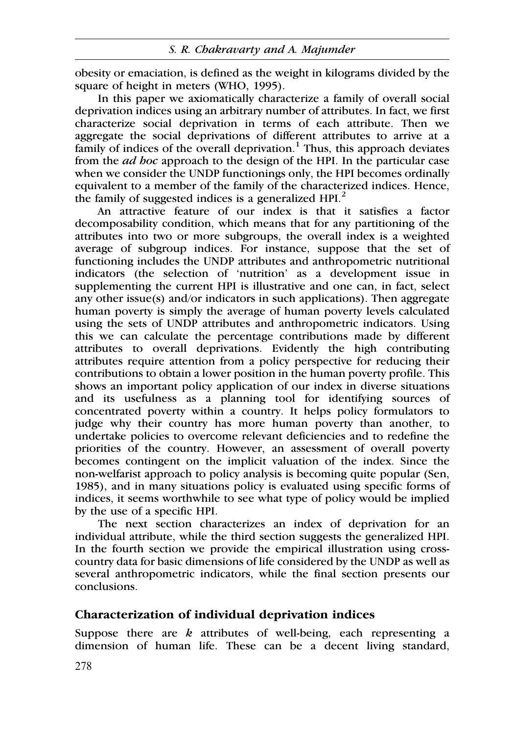obesity or emaciation, is defined as the weight in kilograms divided by the square of height in meters (WHO, 1995).

In this paper we axiomatically characterize a family of overall social deprivation indices using an arbitrary number of attributes. In fact, we first characterize social deprivation in terms of each attribute. Then we aggregate the social deprivations of different attributes to arrive at a family of indices of the overall deprivation.<sup>1</sup> Thus, this approach deviates from the ad hoc approach to the design of the HPI. In the particular case when we consider the UNDP functionings only, the HPI becomes ordinally equivalent to a member of the family of the characterized indices. Hence, the family of suggested indices is a generalized  $HPL<sup>2</sup>$ 

An attractive feature of our index is that it satisfies a factor decomposability condition, which means that for any partitioning of the attributes into two or more subgroups, the overall index is a weighted average of subgroup indices. For instance, suppose that the set of functioning includes the UNDP attributes and anthropometric nutritional indicators (the selection of 'nutrition' as a development issue in supplementing the current HPI is illustrative and one can, in fact, select any other issue(s) and/or indicators in such applications). Then aggregate human poverty is simply the average of human poverty levels calculated using the sets of UNDP attributes and anthropometric indicators. Using this we can calculate the percentage contributions made by different attributes to overall deprivations. Evidently the high contributing attributes require attention from a policy perspective for reducing their contributions to obtain a lower position in the human poverty profile. This shows an important policy application of our index in diverse situations and its usefulness as a planning tool for identifying sources of concentrated poverty within a country. It helps policy formulators to judge why their country has more human poverty than another, to undertake policies to overcome relevant deficiencies and to redefine the priorities of the country. However, an assessment of overall poverty becomes contingent on the implicit valuation of the index. Since the non-welfarist approach to policy analysis is becoming quite popular (Sen, 1985), and in many situations policy is evaluated using specific forms of indices, it seems worthwhile to see what type of policy would be implied by the use of a specific HPI.

The next section characterizes an index of deprivation for an individual attribute, while the third section suggests the generalized HPI. In the fourth section we provide the empirical illustration using crosscountry data for basic dimensions of life considered by the UNDP as well as several anthropometric indicators, while the final section presents our conclusions.

# Characterization of individual deprivation indices

Suppose there are  $k$  attributes of well-being, each representing a dimension of human life. These can be a decent living standard,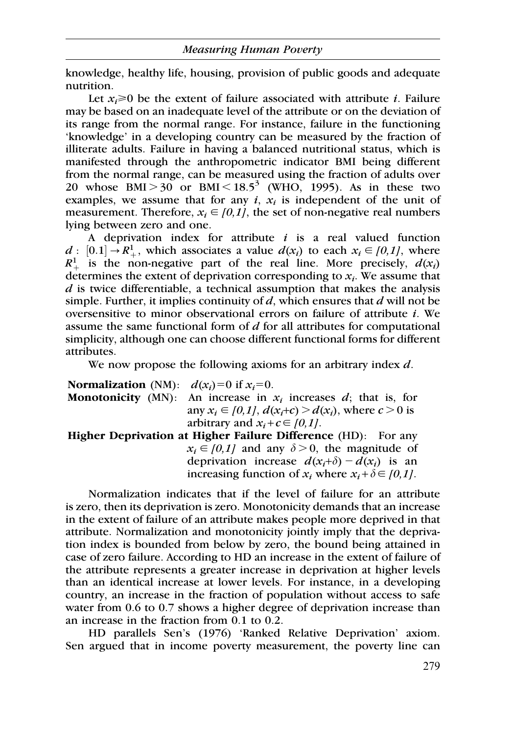knowledge, healthy life, housing, provision of public goods and adequate nutrition.

Let  $x_i \geq 0$  be the extent of failure associated with attribute *i*. Failure may be based on an inadequate level of the attribute or on the deviation of its range from the normal range. For instance, failure in the functioning 'knowledge' in a developing country can be measured by the fraction of illiterate adults. Failure in having a balanced nutritional status, which is manifested through the anthropometric indicator BMI being different from the normal range, can be measured using the fraction of adults over 20 whose BMI  $>$  30 or BMI  $<$  18.5<sup>3</sup> (WHO, 1995). As in these two examples, we assume that for any  $i$ ,  $x_i$  is independent of the unit of measurement. Therefore,  $x_i \in [0,1]$ , the set of non-negative real numbers lying between zero and one.

A deprivation index for attribute  $i$  is a real valued function  $d: [0,1] \rightarrow R_+^1$ , which associates a value  $d(x_i)$  to each  $x_i \in [0,1]$ , where  $R_+^1$  is the non-negative part of the real line. More precisely,  $d(x_i)$ determines the extent of deprivation corresponding to  $x_i$ . We assume that  $d$  is twice differentiable, a technical assumption that makes the analysis simple. Further, it implies continuity of  $d$ , which ensures that  $d$  will not be oversensitive to minor observational errors on failure of attribute i. We assume the same functional form of d for all attributes for computational simplicity, although one can choose different functional forms for different attributes.

We now propose the following axioms for an arbitrary index  $d$ .

Normalization (NM):  $d(x_i)=0$  if  $x_i=0$ . **Monotonicity** (MN): An increase in  $x_i$  increases d; that is, for any  $x_i \in [0,1]$ ,  $d(x_i+c) > d(x_i)$ , where  $c > 0$  is arbitrary and  $x_i + c \in [0,1]$ . Higher Deprivation at Higher Failure Difference (HD): For any  $x_i \in [0,1]$  and any  $\delta > 0$ , the magnitude of deprivation increase  $d(x_i+\delta) - d(x_i)$  is an

Normalization indicates that if the level of failure for an attribute is zero, then its deprivation is zero. Monotonicity demands that an increase in the extent of failure of an attribute makes people more deprived in that attribute. Normalization and monotonicity jointly imply that the deprivation index is bounded from below by zero, the bound being attained in case of zero failure. According to HD an increase in the extent of failure of the attribute represents a greater increase in deprivation at higher levels than an identical increase at lower levels. For instance, in a developing country, an increase in the fraction of population without access to safe water from 0.6 to 0.7 shows a higher degree of deprivation increase than an increase in the fraction from 0.1 to 0.2.

increasing function of  $x_i$  where  $x_i + \delta \in [0,1]$ .

HD parallels Sen's (1976) 'Ranked Relative Deprivation' axiom. Sen argued that in income poverty measurement, the poverty line can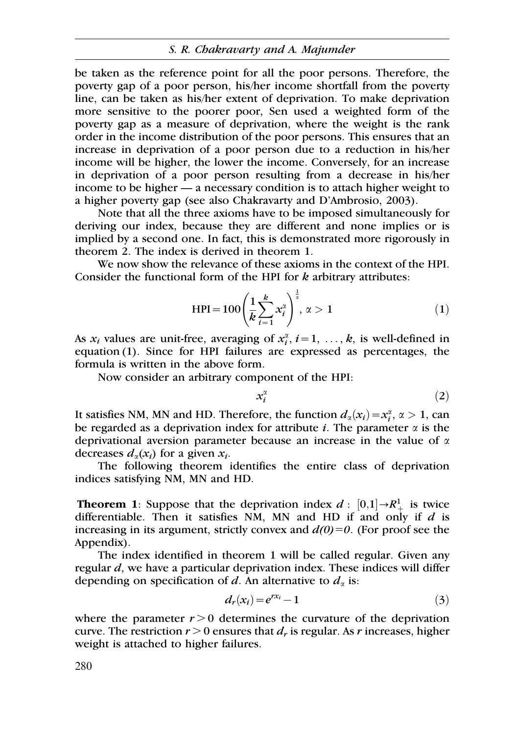S. R. Chakravarty and A. Majumder

be taken as the reference point for all the poor persons. Therefore, the poverty gap of a poor person, his/her income shortfall from the poverty line, can be taken as his/her extent of deprivation. To make deprivation more sensitive to the poorer poor, Sen used a weighted form of the poverty gap as a measure of deprivation, where the weight is the rank order in the income distribution of the poor persons. This ensures that an increase in deprivation of a poor person due to a reduction in his/her income will be higher, the lower the income. Conversely, for an increase in deprivation of a poor person resulting from a decrease in his/her income to be higher — a necessary condition is to attach higher weight to a higher poverty gap (see also Chakravarty and D'Ambrosio, 2003).

Note that all the three axioms have to be imposed simultaneously for deriving our index, because they are different and none implies or is implied by a second one. In fact, this is demonstrated more rigorously in theorem 2. The index is derived in theorem 1.

We now show the relevance of these axioms in the context of the HPI. Consider the functional form of the HPI for  $k$  arbitrary attributes:

$$
HPI = 100 \left(\frac{1}{k} \sum_{i=1}^{k} x_i^{\alpha}\right)^{\frac{1}{\alpha}}, \alpha > 1
$$
 (1)

As  $x_i$  values are unit-free, averaging of  $x_i^{\alpha}$ ,  $i=1, \ldots, k$ , is well-defined in equation (1). Since for HPI failures are expressed as percentages, the formula is written in the above form.

Now consider an arbitrary component of the HPI:

$$
x_i^{\alpha} \tag{2}
$$

It satisfies NM, MN and HD. Therefore, the function  $d_{\alpha}(x_i) = x_i^{\alpha}, \alpha > 1$ , can be regarded as a deprivation index for attribute *i*. The parameter  $\alpha$  is the deprivational aversion parameter because an increase in the value of  $\alpha$ decreases  $d_{\alpha}(x_i)$  for a given  $x_i$ .

The following theorem identifies the entire class of deprivation indices satisfying NM, MN and HD.

**Theorem 1**: Suppose that the deprivation index  $d : [0,1] \rightarrow R_+^1$  is twice differentiable. Then it satisfies NM, MN and HD if and only if  $d$  is increasing in its argument, strictly convex and  $d(0)=0$ . (For proof see the Appendix).

The index identified in theorem 1 will be called regular. Given any regular  $d$ , we have a particular deprivation index. These indices will differ depending on specification of d. An alternative to  $d_{\alpha}$  is:

$$
d_r(x_i) = e^{rx_i} - 1 \tag{3}
$$

where the parameter  $r > 0$  determines the curvature of the deprivation curve. The restriction  $r > 0$  ensures that  $d_r$  is regular. As r increases, higher weight is attached to higher failures.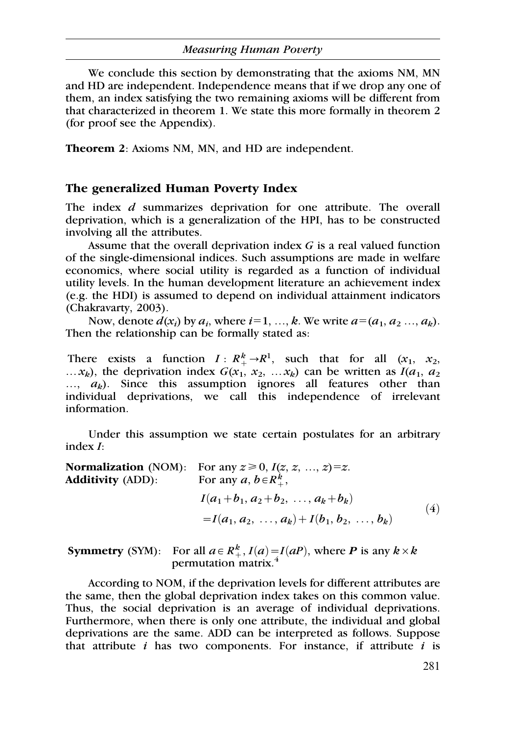We conclude this section by demonstrating that the axioms NM, MN and HD are independent. Independence means that if we drop any one of them, an index satisfying the two remaining axioms will be different from that characterized in theorem 1. We state this more formally in theorem 2 (for proof see the Appendix).

Theorem 2: Axioms NM, MN, and HD are independent.

#### The generalized Human Poverty Index

The index *d* summarizes deprivation for one attribute. The overall deprivation, which is a generalization of the HPI, has to be constructed involving all the attributes.

Assume that the overall deprivation index  $G$  is a real valued function of the single-dimensional indices. Such assumptions are made in welfare economics, where social utility is regarded as a function of individual utility levels. In the human development literature an achievement index (e.g. the HDI) is assumed to depend on individual attainment indicators (Chakravarty, 2003).

Now, denote  $d(x_i)$  by  $a_i$ , where  $i=1, ..., k$ . We write  $a=(a_1, a_2 ..., a_k)$ . Then the relationship can be formally stated as:

There exists a function  $I: R^k_+ \rightarrow R^1$ , such that for all  $(x_1, x_2, x_3)$  $\dots x_k$ ), the deprivation index  $G(x_1, x_2, \dots, x_k)$  can be written as  $I(a_1, a_2)$  $\ldots$ ,  $a_k$ ). Since this assumption ignores all features other than individual deprivations, we call this independence of irrelevant information.

Under this assumption we state certain postulates for an arbitrary index I:

**Normalization** (NOM): For any  $z \ge 0$ ,  $I(z, z, ..., z)=z$ . Additivity (ADD): For any  $a, b \in R^k_+$ ,  $I(a_1+b_1, a_2+b_2, \ldots, a_k+b_k)$  $=I(a_1, a_2, \ldots, a_k) + I(b_1, b_2, \ldots, b_k)$  $(4)$ 

Symmetry (SYM): For all  $a \in R^k_+$ ,  $I(a) = I(aP)$ , where *P* is any  $k \times k$ permutation matrix.<sup>4</sup>

According to NOM, if the deprivation levels for different attributes are the same, then the global deprivation index takes on this common value. Thus, the social deprivation is an average of individual deprivations. Furthermore, when there is only one attribute, the individual and global deprivations are the same. ADD can be interpreted as follows. Suppose that attribute  $i$  has two components. For instance, if attribute  $i$  is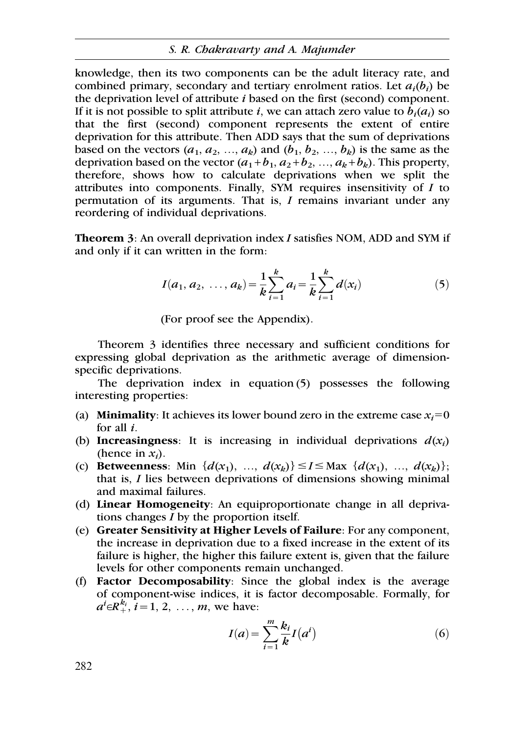knowledge, then its two components can be the adult literacy rate, and combined primary, secondary and tertiary enrolment ratios. Let  $a_i(b_i)$  be the deprivation level of attribute i based on the first (second) component. If it is not possible to split attribute *i*, we can attach zero value to  $b_i(a_i)$  so that the first (second) component represents the extent of entire deprivation for this attribute. Then ADD says that the sum of deprivations based on the vectors  $(a_1, a_2, ..., a_k)$  and  $(b_1, b_2, ..., b_k)$  is the same as the deprivation based on the vector  $(a_1 + b_1, a_2 + b_2, ..., a_k + b_k)$ . This property, therefore, shows how to calculate deprivations when we split the attributes into components. Finally, SYM requires insensitivity of  $I$  to permutation of its arguments. That is,  $I$  remains invariant under any reordering of individual deprivations.

Theorem 3: An overall deprivation index I satisfies NOM, ADD and SYM if and only if it can written in the form:

$$
I(a_1, a_2, \ldots, a_k) = \frac{1}{k} \sum_{i=1}^{k} a_i = \frac{1}{k} \sum_{i=1}^{k} d(x_i)
$$
 (5)

(For proof see the Appendix).

Theorem 3 identifies three necessary and sufficient conditions for expressing global deprivation as the arithmetic average of dimensionspecific deprivations.

The deprivation index in equation (5) possesses the following interesting properties:

- (a) **Minimality**: It achieves its lower bound zero in the extreme case  $x_i=0$ for all  $i$ .
- (b) Increasingness: It is increasing in individual deprivations  $d(x_i)$ (hence in  $x_i$ ).
- (c) Betweenness: Min  $\{d(x_1), ..., d(x_k)\}\leq I \leq \text{Max } \{d(x_1), ..., d(x_k)\};$ that is, I lies between deprivations of dimensions showing minimal and maximal failures.
- (d) Linear Homogeneity: An equiproportionate change in all deprivations changes I by the proportion itself.
- (e) Greater Sensitivity at Higher Levels of Failure: For any component, the increase in deprivation due to a fixed increase in the extent of its failure is higher, the higher this failure extent is, given that the failure levels for other components remain unchanged.
- (f) Factor Decomposability: Since the global index is the average of component-wise indices, it is factor decomposable. Formally, for  $a^i \in R_+^{k_i}$ ,  $i = 1, 2, ..., m$ , we have:

$$
I(a) = \sum_{i=1}^{m} \frac{k_i}{k} I(a^i)
$$
 (6)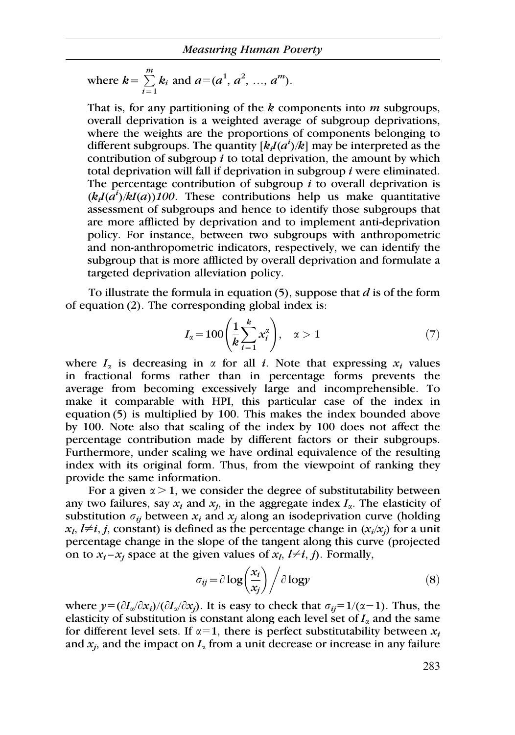where 
$$
k = \sum_{i=1}^{m} k_i
$$
 and  $a = (a^1, a^2, ..., a^m)$ .

That is, for any partitioning of the k components into  $m$  subgroups, overall deprivation is a weighted average of subgroup deprivations, where the weights are the proportions of components belonging to different subgroups. The quantity  $[k_iI(a^i)/k]$  may be interpreted as the contribution of subgroup  $i$  to total deprivation, the amount by which total deprivation will fall if deprivation in subgroup *i* were eliminated. The percentage contribution of subgroup  $i$  to overall deprivation is  $(k<sub>i</sub>I(a<sup>i</sup>)/kl(a))100$ . These contributions help us make quantitative assessment of subgroups and hence to identify those subgroups that are more afflicted by deprivation and to implement anti-deprivation policy. For instance, between two subgroups with anthropometric and non-anthropometric indicators, respectively, we can identify the subgroup that is more afflicted by overall deprivation and formulate a targeted deprivation alleviation policy.

To illustrate the formula in equation  $(5)$ , suppose that d is of the form of equation (2). The corresponding global index is:

$$
I_{\alpha} = 100 \left( \frac{1}{k} \sum_{i=1}^{k} x_i^{\alpha} \right), \quad \alpha > 1 \tag{7}
$$

where  $I_{\alpha}$  is decreasing in  $\alpha$  for all i. Note that expressing  $x_i$  values in fractional forms rather than in percentage forms prevents the average from becoming excessively large and incomprehensible. To make it comparable with HPI, this particular case of the index in equation (5) is multiplied by 100. This makes the index bounded above by 100. Note also that scaling of the index by 100 does not affect the percentage contribution made by different factors or their subgroups. Furthermore, under scaling we have ordinal equivalence of the resulting index with its original form. Thus, from the viewpoint of ranking they provide the same information.

For a given  $\alpha > 1$ , we consider the degree of substitutability between any two failures, say  $x_i$  and  $x_j$ , in the aggregate index  $I_{\alpha}$ . The elasticity of substitution  $\sigma_{ii}$  between  $x_i$  and  $x_j$  along an isodeprivation curve (holding  $x_i$ ,  $i \neq i, j$ , constant) is defined as the percentage change in  $(x_i/x_j)$  for a unit percentage change in the slope of the tangent along this curve (projected on to  $x_i - x_j$  space at the given values of  $x_i$ ,  $i \neq i$ , j). Formally,

$$
\sigma_{ij} = \partial \log \left(\frac{x_i}{x_j}\right) / \partial \log y \tag{8}
$$

where  $\gamma = (\partial I_x/\partial x_i)/(\partial I_x/\partial x_i)$ . It is easy to check that  $\sigma_{ij} = 1/(\alpha-1)$ . Thus, the elasticity of substitution is constant along each level set of  $I_{\alpha}$  and the same for different level sets. If  $\alpha=1$ , there is perfect substitutability between  $x_i$ and  $x_i$ , and the impact on  $I_\alpha$  from a unit decrease or increase in any failure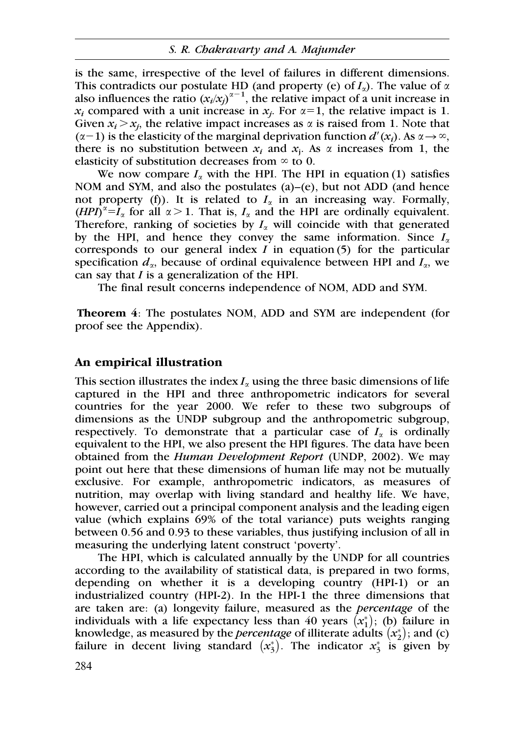is the same, irrespective of the level of failures in different dimensions. This contradicts our postulate HD (and property (e) of  $I_{\alpha}$ ). The value of  $\alpha$ also influences the ratio  $(x_i/x_j)^{\alpha-1}$ , the relative impact of a unit increase in  $x_i$  compared with a unit increase in  $x_i$ . For  $\alpha=1$ , the relative impact is 1. Given  $x_i > x_j$ , the relative impact increases as  $\alpha$  is raised from 1. Note that  $(\alpha-1)$  is the elasticity of the marginal deprivation function  $d'(x_i)$ . As  $\alpha \rightarrow \infty$ , there is no substitution between  $x_i$  and  $x_i$ . As  $\alpha$  increases from 1, the elasticity of substitution decreases from  $\infty$  to 0.

We now compare  $I_{\alpha}$  with the HPI. The HPI in equation (1) satisfies NOM and SYM, and also the postulates (a)–(e), but not ADD (and hence not property (f)). It is related to  $I_{\alpha}$  in an increasing way. Formally,  $(HPI)^{\alpha} = I_{\alpha}$  for all  $\alpha > 1$ . That is,  $I_{\alpha}$  and the HPI are ordinally equivalent. Therefore, ranking of societies by  $I_{\alpha}$  will coincide with that generated by the HPI, and hence they convey the same information. Since  $I_{\alpha}$ corresponds to our general index  $\overline{I}$  in equation (5) for the particular specification  $d_{\alpha}$ , because of ordinal equivalence between HPI and  $I_{\alpha}$ , we can say that I is a generalization of the HPI.

The final result concerns independence of NOM, ADD and SYM.

Theorem 4: The postulates NOM, ADD and SYM are independent (for proof see the Appendix).

#### An empirical illustration

This section illustrates the index  $I_{\alpha}$  using the three basic dimensions of life captured in the HPI and three anthropometric indicators for several countries for the year 2000. We refer to these two subgroups of dimensions as the UNDP subgroup and the anthropometric subgroup, respectively. To demonstrate that a particular case of  $I_\alpha$  is ordinally equivalent to the HPI, we also present the HPI figures. The data have been obtained from the Human Development Report (UNDP, 2002). We may point out here that these dimensions of human life may not be mutually exclusive. For example, anthropometric indicators, as measures of nutrition, may overlap with living standard and healthy life. We have, however, carried out a principal component analysis and the leading eigen value (which explains 69% of the total variance) puts weights ranging between 0.56 and 0.93 to these variables, thus justifying inclusion of all in measuring the underlying latent construct 'poverty'.

The HPI, which is calculated annually by the UNDP for all countries according to the availability of statistical data, is prepared in two forms, depending on whether it is a developing country (HPI-1) or an industrialized country (HPI-2). In the HPI-1 the three dimensions that are taken are: (a) longevity failure, measured as the percentage of the individuals with a life expectancy less than 40 years  $\left(x_1^*\right)$ percentage of the<br> $(x_1^*)$ ; (b) failure in knowledge, as measured by the *percentage* of illiterate adults  $(x_2^*)$ ; and (c) failure in decent living standard  $(x_3^*)$ entage of interace addits  $(x_2)$ ; and  $(x_3)$ .<br> $(x_3^*)$ . The indicator  $x_3^*$  is given by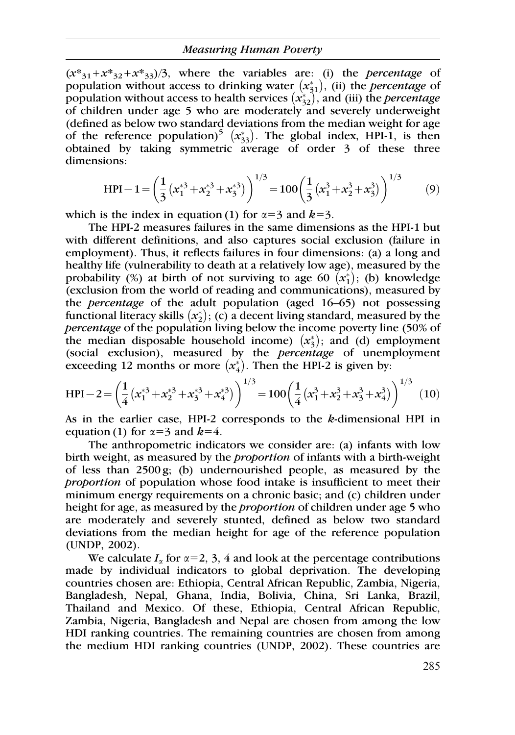$(x^*_{31}+x^*_{32}+x^*_{33})/3$ , where the variables are: (i) the *percentage* of  $(x<sup>2</sup>31+x<sup>2</sup>32+x<sup>2</sup>33)/3$ , where the variables are: (i) the *percentage* of population without access to drinking water  $(x<sup>2</sup>31)$ , (ii) the *percentage* of population without access to unliking water  $(x_{31}^2)$ , (ii) the *percentage* of population without access to health services  $(x_{32}^2)$ , and (iii) the *percentage* of children under age 5 who are moderately and severely underweight (defined as below two standard deviations from the median weight for age (defined as below two standard deviations from the incurant weight for age<br>of the reference population)<sup>5</sup>  $(x_{33}^*)$ . The global index, HPI-1, is then obtained by taking symmetric average of order 3 of these three dimensions:

$$
HPI - 1 = \left(\frac{1}{3} \left(x_1^{*3} + x_2^{*3} + x_3^{*3}\right)\right)^{1/3} = 100 \left(\frac{1}{3} \left(x_1^3 + x_2^3 + x_3^3\right)\right)^{1/3} \tag{9}
$$

which is the index in equation (1) for  $\alpha=3$  and  $k=3$ .

The HPI-2 measures failures in the same dimensions as the HPI-1 but with different definitions, and also captures social exclusion (failure in employment). Thus, it reflects failures in four dimensions: (a) a long and healthy life (vulnerability to death at a relatively low age), measured by the probability (%) at birth of not surviving to age 60  $\overline{x}_1^*$  $(x_1^*)$ ; (b) knowledge (exclusion from the world of reading and communications), measured by the *percentage* of the adult population (aged 16–65) not possessing<br>functional literary skills  $(x^*)$ , (c) a decent liting standard measured by the functional literacy skills  $(x_2^*)$ ; (c) a decent living standard, measured by the percentage of the population living below the income poverty line (50% of the median disposable household income)  $(x_3^*)$  $(x_3^*)$ ; and (d) employment (social exclusion), measured by the percentage of unemployment exceeding 12 months or more  $(x_4^*)$ . Then the HPI-2 is given by:

$$
HPI - 2 = \left(\frac{1}{4}\left(x_1^{*3} + x_2^{*3} + x_3^{*3} + x_4^{*3}\right)\right)^{1/3} = 100\left(\frac{1}{4}\left(x_1^3 + x_2^3 + x_3^3 + x_4^3\right)\right)^{1/3} \tag{10}
$$

As in the earlier case, HPI-2 corresponds to the k-dimensional HPI in equation (1) for  $\alpha=3$  and  $k=4$ .

The anthropometric indicators we consider are: (a) infants with low birth weight, as measured by the proportion of infants with a birth-weight of less than  $2500 g$ ; (b) undernourished people, as measured by the proportion of population whose food intake is insufficient to meet their minimum energy requirements on a chronic basic; and (c) children under height for age, as measured by the proportion of children under age 5 who are moderately and severely stunted, defined as below two standard deviations from the median height for age of the reference population (UNDP, 2002).

We calculate  $I_{\alpha}$  for  $\alpha=2, 3, 4$  and look at the percentage contributions made by individual indicators to global deprivation. The developing countries chosen are: Ethiopia, Central African Republic, Zambia, Nigeria, Bangladesh, Nepal, Ghana, India, Bolivia, China, Sri Lanka, Brazil, Thailand and Mexico. Of these, Ethiopia, Central African Republic, Zambia, Nigeria, Bangladesh and Nepal are chosen from among the low HDI ranking countries. The remaining countries are chosen from among the medium HDI ranking countries (UNDP, 2002). These countries are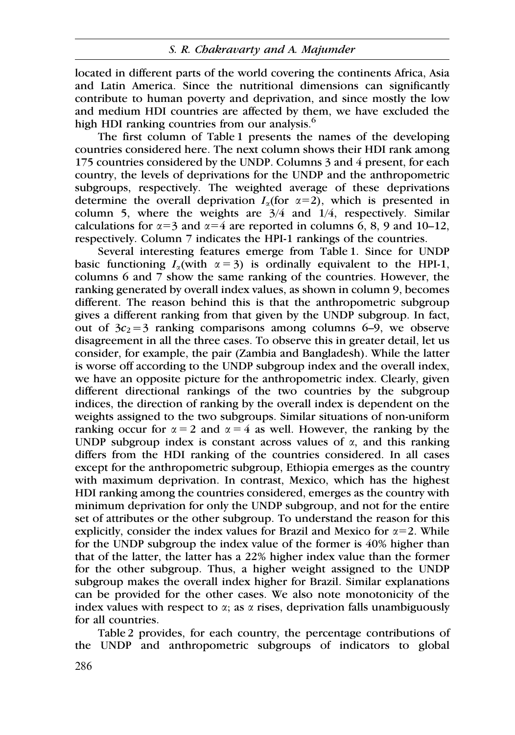located in different parts of the world covering the continents Africa, Asia and Latin America. Since the nutritional dimensions can significantly contribute to human poverty and deprivation, and since mostly the low and medium HDI countries are affected by them, we have excluded the high HDI ranking countries from our analysis.<sup>6</sup>

The first column of Table 1 presents the names of the developing countries considered here. The next column shows their HDI rank among 175 countries considered by the UNDP. Columns 3 and 4 present, for each country, the levels of deprivations for the UNDP and the anthropometric subgroups, respectively. The weighted average of these deprivations determine the overall deprivation  $I_{\alpha}$ (for  $\alpha=2$ ), which is presented in column 5, where the weights are  $3/4$  and  $1/4$ , respectively. Similar calculations for  $\alpha=3$  and  $\alpha=4$  are reported in columns 6, 8, 9 and 10–12, respectively. Column 7 indicates the HPI-1 rankings of the countries.

Several interesting features emerge from Table 1. Since for UNDP basic functioning  $I_{\alpha}$ (with  $\alpha = 3$ ) is ordinally equivalent to the HPI-1, columns 6 and 7 show the same ranking of the countries. However, the ranking generated by overall index values, as shown in column 9, becomes different. The reason behind this is that the anthropometric subgroup gives a different ranking from that given by the UNDP subgroup. In fact, out of  $3c_2=3$  ranking comparisons among columns 6–9, we observe disagreement in all the three cases. To observe this in greater detail, let us consider, for example, the pair (Zambia and Bangladesh). While the latter is worse off according to the UNDP subgroup index and the overall index, we have an opposite picture for the anthropometric index. Clearly, given different directional rankings of the two countries by the subgroup indices, the direction of ranking by the overall index is dependent on the weights assigned to the two subgroups. Similar situations of non-uniform ranking occur for  $\alpha = 2$  and  $\alpha = 4$  as well. However, the ranking by the UNDP subgroup index is constant across values of  $\alpha$ , and this ranking differs from the HDI ranking of the countries considered. In all cases except for the anthropometric subgroup, Ethiopia emerges as the country with maximum deprivation. In contrast, Mexico, which has the highest HDI ranking among the countries considered, emerges as the country with minimum deprivation for only the UNDP subgroup, and not for the entire set of attributes or the other subgroup. To understand the reason for this explicitly, consider the index values for Brazil and Mexico for  $\alpha=2$ . While for the UNDP subgroup the index value of the former is 40% higher than that of the latter, the latter has a 22% higher index value than the former for the other subgroup. Thus, a higher weight assigned to the UNDP subgroup makes the overall index higher for Brazil. Similar explanations can be provided for the other cases. We also note monotonicity of the index values with respect to  $\alpha$ ; as  $\alpha$  rises, deprivation falls unambiguously for all countries.

Table 2 provides, for each country, the percentage contributions of the UNDP and anthropometric subgroups of indicators to global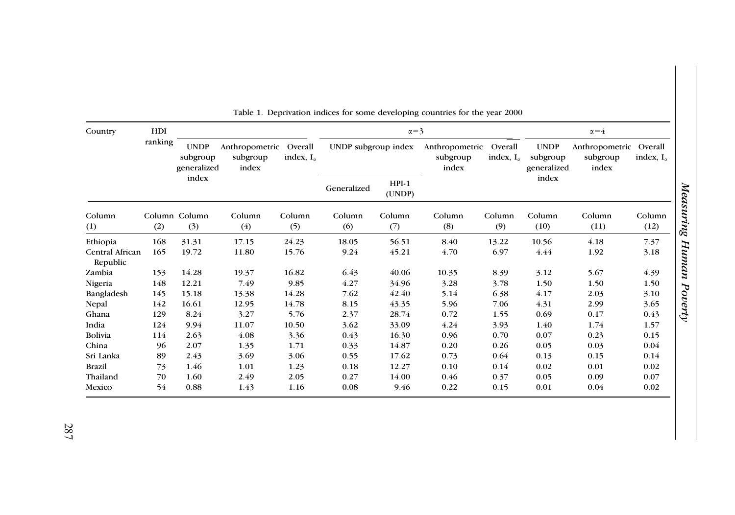| Country                     | <b>HDI</b><br>ranking |                                        |                                     |                                |                     | $\alpha = 3$      |                                     | $\alpha = 4$                   |                                        |                                     |                                |
|-----------------------------|-----------------------|----------------------------------------|-------------------------------------|--------------------------------|---------------------|-------------------|-------------------------------------|--------------------------------|----------------------------------------|-------------------------------------|--------------------------------|
|                             |                       | <b>UNDP</b><br>subgroup<br>generalized | Anthropometric<br>subgroup<br>index | Overall<br>index, $I_{\alpha}$ | UNDP subgroup index |                   | Anthropometric<br>subgroup<br>index | Overall<br>index, $I_{\alpha}$ | <b>UNDP</b><br>subgroup<br>generalized | Anthropometric<br>subgroup<br>index | Overall<br>index, $I_{\alpha}$ |
|                             |                       | index                                  |                                     |                                | Generalized         | $HPI-1$<br>(UNDP) |                                     |                                | index                                  |                                     |                                |
| Column<br>(1)               | (2)                   | Column Column<br>(3)                   | Column<br>(4)                       | Column<br>(5)                  | Column<br>(6)       | Column<br>(7)     | Column<br>(8)                       | Column<br>(9)                  | Column<br>(10)                         | Column<br>(11)                      | Column<br>(12)                 |
| Ethiopia                    | 168                   | 31.31                                  | 17.15                               | 24.23                          | 18.05               | 56.51             | 8.40                                | 13.22                          | 10.56                                  | 4.18                                | 7.37                           |
| Central African<br>Republic | 165                   | 19.72                                  | 11.80                               | 15.76                          | 9.24                | 45.21             | 4.70                                | 6.97                           | 4.44                                   | 1.92                                | 3.18                           |
| Zambia                      | 153                   | 14.28                                  | 19.37                               | 16.82                          | 6.43                | 40.06             | 10.35                               | 8.39                           | 3.12                                   | 5.67                                | 4.39                           |
| Nigeria                     | 148                   | 12.21                                  | 7.49                                | 9.85                           | 4.27                | 34.96             | 3.28                                | 3.78                           | 1.50                                   | 1.50                                | 1.50                           |
| Bangladesh                  | 145                   | 15.18                                  | 13.38                               | 14.28                          | 7.62                | 42.40             | 5.14                                | 6.38                           | 4.17                                   | 2.03                                | 3.10                           |
| Nepal                       | 142                   | 16.61                                  | 12.95                               | 14.78                          | 8.15                | 43.35             | 5.96                                | 7.06                           | 4.31                                   | 2.99                                | 3.65                           |
| Ghana                       | 129                   | 8.24                                   | 3.27                                | 5.76                           | 2.37                | 28.74             | 0.72                                | 1.55                           | 0.69                                   | 0.17                                | 0.43                           |
| India                       | 124                   | 9.94                                   | 11.07                               | 10.50                          | 3.62                | 33.09             | 4.24                                | 3.93                           | 1.40                                   | 1.74                                | 1.57                           |
| Bolivia                     | 114                   | 2.63                                   | 4.08                                | 3.36                           | 0.43                | 16.30             | 0.96                                | 0.70                           | 0.07                                   | 0.23                                | 0.15                           |
| China                       | 96                    | 2.07                                   | 1.35                                | 1.71                           | 0.33                | 14.87             | 0.20                                | 0.26                           | 0.05                                   | 0.03                                | 0.04                           |
| Sri Lanka                   | 89                    | 2.43                                   | 3.69                                | 3.06                           | 0.55                | 17.62             | 0.73                                | 0.64                           | 0.13                                   | 0.15                                | 0.14                           |
| <b>Brazil</b>               | 73                    | 1.46                                   | 1.01                                | 1.23                           | 0.18                | 12.27             | 0.10                                | 0.14                           | 0.02                                   | 0.01                                | 0.02                           |
| Thailand                    | 70                    | 1.60                                   | 2.49                                | 2.05                           | 0.27                | 14.00             | 0.46                                | 0.37                           | 0.05                                   | 0.09                                | 0.07                           |
| Mexico                      | 54                    | 0.88                                   | 1.43                                | 1.16                           | 0.08                | 9.46              | 0.22                                | 0.15                           | 0.01                                   | 0.04                                | 0.02                           |

Table 1. Deprivation indices for some developing countries for the year 2000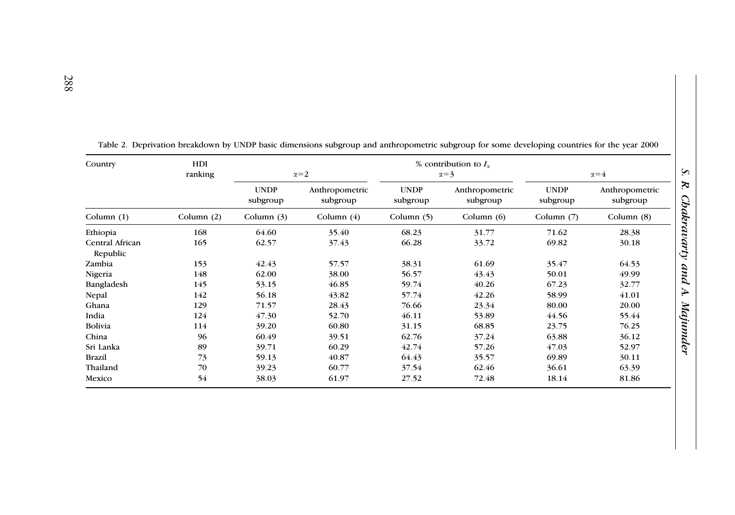| Country                     | HDI<br>ranking |                         | $\alpha = 2$               |                         | % contribution to $I_{\alpha}$<br>$\alpha = 3$ | $\alpha = 4$            |                            |  |
|-----------------------------|----------------|-------------------------|----------------------------|-------------------------|------------------------------------------------|-------------------------|----------------------------|--|
|                             |                | <b>UNDP</b><br>subgroup | Anthropometric<br>subgroup | <b>UNDP</b><br>subgroup | Anthropometric<br>subgroup                     | <b>UNDP</b><br>subgroup | Anthropometric<br>subgroup |  |
| Column $(1)$                | Column $(2)$   | Column $(3)$            | Column $(4)$               | Column $(5)$            | Column $(6)$                                   | Column $(7)$            | Column $(8)$               |  |
| Ethiopia                    | 168            | 64.60                   | 35.40                      | 68.23                   | 31.77                                          | 71.62                   | 28.38                      |  |
| Central African<br>Republic | 165            | 62.57                   | 37.43                      | 66.28                   | 33.72                                          | 69.82                   | 30.18                      |  |
| Zambia                      | 153            | 42.43                   | 57.57                      | 38.31                   | 61.69                                          | 35.47                   | 64.53                      |  |
| Nigeria                     | 148            | 62.00                   | 38.00                      | 56.57                   | 43.43                                          | 50.01                   | 49.99                      |  |
| Bangladesh                  | 145            | 53.15                   | 46.85                      | 59.74                   | 40.26                                          | 67.23                   | 32.77                      |  |
| Nepal                       | 142            | 56.18                   | 43.82                      | 57.74                   | 42.26                                          | 58.99                   | 41.01                      |  |
| Ghana                       | 129            | 71.57                   | 28.43                      | 76.66                   | 23.34                                          | 80.00                   | 20.00                      |  |
| India                       | 124            | 47.30                   | 52.70                      | 46.11                   | 53.89                                          | 44.56                   | 55.44                      |  |
| Bolivia                     | 114            | 39.20                   | 60.80                      | 31.15                   | 68.85                                          | 23.75                   | 76.25                      |  |
| China                       | 96             | 60.49                   | 39.51                      | 62.76                   | 37.24                                          | 63.88                   | 36.12                      |  |
| Sri Lanka                   | 89             | 39.71                   | 60.29                      | 42.74                   | 57.26                                          | 47.03                   | 52.97                      |  |
| Brazil                      | 73             | 59.13                   | 40.87                      | 64.43                   | 35.57                                          | 69.89                   | 30.11                      |  |
| Thailand                    | 70             | 39.23                   | 60.77                      | 37.54                   | 62.46                                          | 36.61                   | 63.39                      |  |
| Mexico                      | 54             | 38.03                   | 61.97                      | 27.52                   | 72.48                                          | 18.14                   | 81.86                      |  |

Table 2. Deprivation breakdown by UNDP basic dimensions subgroup and anthropometric subgroup for some developing countries for the year 2000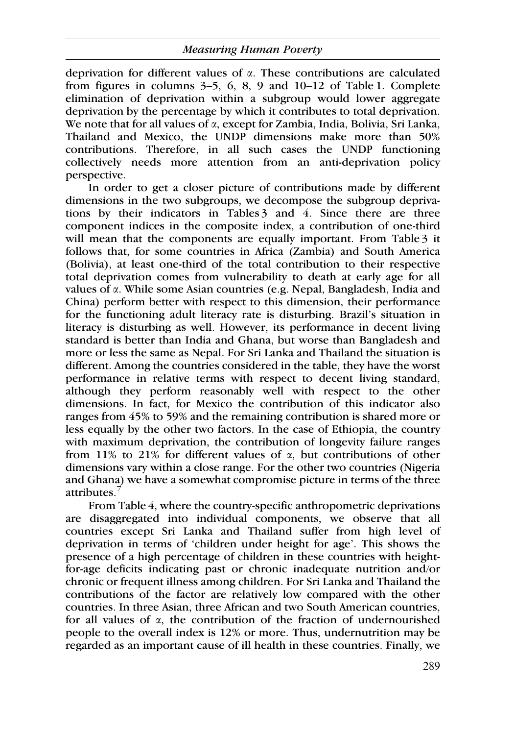deprivation for different values of a. These contributions are calculated from figures in columns 3–5, 6, 8, 9 and 10–12 of Table 1. Complete elimination of deprivation within a subgroup would lower aggregate deprivation by the percentage by which it contributes to total deprivation. We note that for all values of  $\alpha$ , except for Zambia, India, Bolivia, Sri Lanka, Thailand and Mexico, the UNDP dimensions make more than 50% contributions. Therefore, in all such cases the UNDP functioning collectively needs more attention from an anti-deprivation policy perspective.

In order to get a closer picture of contributions made by different dimensions in the two subgroups, we decompose the subgroup deprivations by their indicators in Tables 3 and 4. Since there are three component indices in the composite index, a contribution of one-third will mean that the components are equally important. From Table 3 it follows that, for some countries in Africa (Zambia) and South America (Bolivia), at least one-third of the total contribution to their respective total deprivation comes from vulnerability to death at early age for all values of  $\alpha$ . While some Asian countries (e.g. Nepal, Bangladesh, India and China) perform better with respect to this dimension, their performance for the functioning adult literacy rate is disturbing. Brazil's situation in literacy is disturbing as well. However, its performance in decent living standard is better than India and Ghana, but worse than Bangladesh and more or less the same as Nepal. For Sri Lanka and Thailand the situation is different. Among the countries considered in the table, they have the worst performance in relative terms with respect to decent living standard, although they perform reasonably well with respect to the other dimensions. In fact, for Mexico the contribution of this indicator also ranges from 45% to 59% and the remaining contribution is shared more or less equally by the other two factors. In the case of Ethiopia, the country with maximum deprivation, the contribution of longevity failure ranges from 11% to 21% for different values of  $\alpha$ , but contributions of other dimensions vary within a close range. For the other two countries (Nigeria and Ghana) we have a somewhat compromise picture in terms of the three attributes.<sup>7</sup>

From Table 4, where the country-specific anthropometric deprivations are disaggregated into individual components, we observe that all countries except Sri Lanka and Thailand suffer from high level of deprivation in terms of 'children under height for age'. This shows the presence of a high percentage of children in these countries with heightfor-age deficits indicating past or chronic inadequate nutrition and/or chronic or frequent illness among children. For Sri Lanka and Thailand the contributions of the factor are relatively low compared with the other countries. In three Asian, three African and two South American countries, for all values of  $\alpha$ , the contribution of the fraction of undernourished people to the overall index is 12% or more. Thus, undernutrition may be regarded as an important cause of ill health in these countries. Finally, we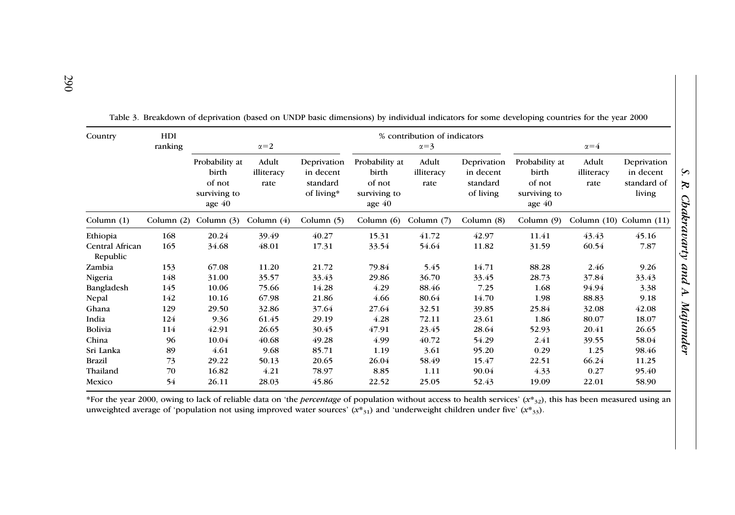| Country                     | HDI<br>ranking |                                                               | $\alpha = 2$                |                                                    |                                                             | % contribution of indicators<br>$\alpha = 3$ |                                                   | $\alpha = 4$                                                  |                             |                                                   |
|-----------------------------|----------------|---------------------------------------------------------------|-----------------------------|----------------------------------------------------|-------------------------------------------------------------|----------------------------------------------|---------------------------------------------------|---------------------------------------------------------------|-----------------------------|---------------------------------------------------|
|                             |                | Probability at<br>birth<br>of not<br>surviving to<br>age $40$ | Adult<br>illiteracy<br>rate | Deprivation<br>in decent<br>standard<br>of living* | Probability at<br>birth<br>of not<br>surviving to<br>age 40 | Adult<br>illiteracy<br>rate                  | Deprivation<br>in decent<br>standard<br>of living | Probability at<br>birth<br>of not<br>surviving to<br>age $40$ | Adult<br>illiteracy<br>rate | Deprivation<br>in decent<br>standard of<br>living |
| Column $(1)$                | Column $(2)$   | Column $(3)$                                                  | Column $(4)$                | Column $(5)$                                       | Column $(6)$                                                | Column $(7)$                                 | Column (8)                                        | Column (9)                                                    |                             | Column $(10)$ Column $(11)$                       |
| Ethiopia                    | 168            | 20.24                                                         | 39.49                       | 40.27                                              | 15.31                                                       | 41.72                                        | 42.97                                             | 11.41                                                         | 43.43                       | 45.16                                             |
| Central African<br>Republic | 165            | 34.68                                                         | 48.01                       | 17.31                                              | 33.54                                                       | 54.64                                        | 11.82                                             | 31.59                                                         | 60.54                       | 7.87                                              |
| Zambia                      | 153            | 67.08                                                         | 11.20                       | 21.72                                              | 79.84                                                       | 5.45                                         | 14.71                                             | 88.28                                                         | 2.46                        | 9.26                                              |
| Nigeria                     | 148            | 31.00                                                         | 35.57                       | 33.43                                              | 29.86                                                       | 36.70                                        | 33.45                                             | 28.73                                                         | 37.84                       | 33.43                                             |
| Bangladesh                  | 145            | 10.06                                                         | 75.66                       | 14.28                                              | 4.29                                                        | 88.46                                        | 7.25                                              | 1.68                                                          | 94.94                       | 3.38                                              |
| Nepal                       | 142            | 10.16                                                         | 67.98                       | 21.86                                              | 4.66                                                        | 80.64                                        | 14.70                                             | 1.98                                                          | 88.83                       | 9.18                                              |
| Ghana                       | 129            | 29.50                                                         | 32.86                       | 37.64                                              | 27.64                                                       | 32.51                                        | 39.85                                             | 25.84                                                         | 32.08                       | 42.08                                             |
| India                       | 124            | 9.36                                                          | 61.45                       | 29.19                                              | 4.28                                                        | 72.11                                        | 23.61                                             | 1.86                                                          | 80.07                       | 18.07                                             |
| <b>Bolivia</b>              | 114            | 42.91                                                         | 26.65                       | 30.45                                              | 47.91                                                       | 23.45                                        | 28.64                                             | 52.93                                                         | 20.41                       | 26.65                                             |
| China                       | 96             | 10.04                                                         | 40.68                       | 49.28                                              | 4.99                                                        | 40.72                                        | 54.29                                             | 2.41                                                          | 39.55                       | 58.04                                             |
| Sri Lanka                   | 89             | 4.61                                                          | 9.68                        | 85.71                                              | 1.19                                                        | 3.61                                         | 95.20                                             | 0.29                                                          | 1.25                        | 98.46                                             |
| <b>Brazil</b>               | 73             | 29.22                                                         | 50.13                       | 20.65                                              | 26.04                                                       | 58.49                                        | 15.47                                             | 22.51                                                         | 66.24                       | 11.25                                             |
| Thailand                    | 70             | 16.82                                                         | 4.21                        | 78.97                                              | 8.85                                                        | 1.11                                         | 90.04                                             | 4.33                                                          | 0.27                        | 95.40                                             |
| Mexico                      | 54             | 26.11                                                         | 28.03                       | 45.86                                              | 22.52                                                       | 25.05                                        | 52.43                                             | 19.09                                                         | 22.01                       | 58.90                                             |

Table 3. Breakdown of deprivation (based on UNDP basic dimensions) by individual indicators for some developing countries for the year 2000

\*For the year 2000, owing to lack of reliable data on 'the *percentage* of population without access to health services' ( $x*_{32}$ ), this has been measured using an unweighted average of 'population not using improved water sources'  $(x*_{31})$  and 'underweight children under five'  $(x*_{33})$ .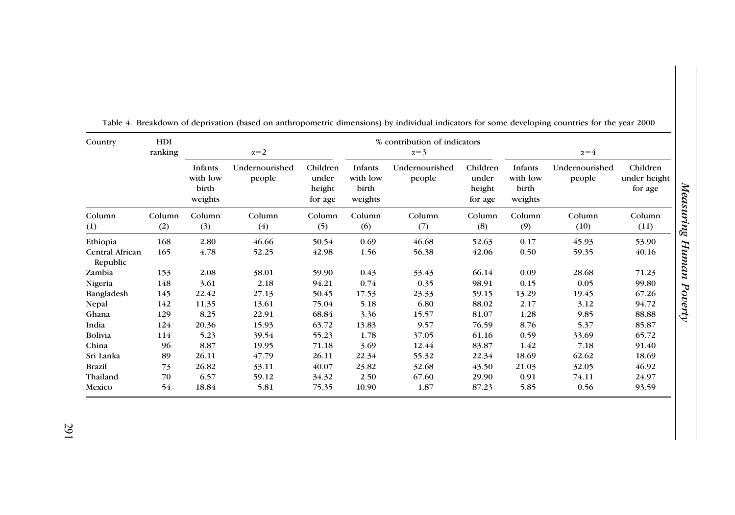| Country                     | <b>HDI</b><br>ranking |                                         | $\alpha = 2$             |                                        |                                         | % contribution of indicators<br>$\alpha = 3$ |                                        | $\alpha = 4$                            |                          |                                     |
|-----------------------------|-----------------------|-----------------------------------------|--------------------------|----------------------------------------|-----------------------------------------|----------------------------------------------|----------------------------------------|-----------------------------------------|--------------------------|-------------------------------------|
|                             |                       | Infants<br>with low<br>birth<br>weights | Undernourished<br>people | Children<br>under<br>height<br>for age | Infants<br>with low<br>birth<br>weights | Undernourished<br>people                     | Children<br>under<br>height<br>for age | Infants<br>with low<br>birth<br>weights | Undernourished<br>people | Children<br>under height<br>for age |
| Column                      | Column                | Column                                  | Column                   | Column                                 | Column                                  | Column                                       | Column                                 | Column                                  | Column                   | Column                              |
| (1)                         | (2)                   | (3)                                     | (4)                      | (5)                                    | (6)                                     | (7)                                          | (8)                                    | (9)                                     | (10)                     | (11)                                |
| Ethiopia                    | 168                   | 2.80                                    | 46.66                    | 50.54                                  | 0.69                                    | 46.68                                        | 52.63                                  | 0.17                                    | 45.93                    | 53.90                               |
| Central African<br>Republic | 165                   | 4.78                                    | 52.25                    | 42.98                                  | 1.56                                    | 56.38                                        | 42.06                                  | 0.50                                    | 59.35                    | 40.16                               |
| Zambia                      | 153                   | 2.08                                    | 38.01                    | 59.90                                  | 0.43                                    | 33.43                                        | 66.14                                  | 0.09                                    | 28.68                    | 71.23                               |
| Nigeria                     | 148                   | 3.61                                    | 2.18                     | 94.21                                  | 0.74                                    | 0.35                                         | 98.91                                  | 0.15                                    | 0.05                     | 99.80                               |
| Bangladesh                  | 145                   | 22.42                                   | 27.13                    | 50.45                                  | 17.53                                   | 23.33                                        | 59.15                                  | 13.29                                   | 19.45                    | 67.26                               |
| Nepal                       | 142                   | 11.35                                   | 13.61                    | 75.04                                  | 5.18                                    | 6.80                                         | 88.02                                  | 2.17                                    | 3.12                     | 94.72                               |
| Ghana                       | 129                   | 8.25                                    | 22.91                    | 68.84                                  | 3.36                                    | 15.57                                        | 81.07                                  | 1.28                                    | 9.85                     | 88.88                               |
| India                       | 124                   | 20.36                                   | 15.93                    | 63.72                                  | 13.83                                   | 9.57                                         | 76.59                                  | 8.76                                    | 5.37                     | 85.87                               |
| Bolivia                     | 114                   | 5.23                                    | 39.54                    | 55.23                                  | 1.78                                    | 37.05                                        | 61.16                                  | 0.59                                    | 33.69                    | 65.72                               |
| China                       | 96                    | 8.87                                    | 19.95                    | 71.18                                  | 3.69                                    | 12.44                                        | 83.87                                  | 1.42                                    | 7.18                     | 91.40                               |
| Sri Lanka                   | 89                    | 26.11                                   | 47.79                    | 26.11                                  | 22.34                                   | 55.32                                        | 22.34                                  | 18.69                                   | 62.62                    | 18.69                               |
| <b>Brazil</b>               | 73                    | 26.82                                   | 33.11                    | 40.07                                  | 23.82                                   | 32.68                                        | 43.50                                  | 21.03                                   | 32.05                    | 46.92                               |
| Thailand                    | 70                    | 6.57                                    | 59.12                    | 34.32                                  | 2.50                                    | 67.60                                        | 29.90                                  | 0.91                                    | 74.11                    | 24.97                               |
| Mexico                      | 54                    | 18.84                                   | 5.81                     | 75.35                                  | 10.90                                   | 1.87                                         | 87.23                                  | 5.85                                    | 0.56                     | 93.59                               |

Table 4. Breakdown of deprivation (based on anthropometric dimensions) by individual indicators for some developing countries for the year 2000

Measuring Human Poverty Measuring Human Poverty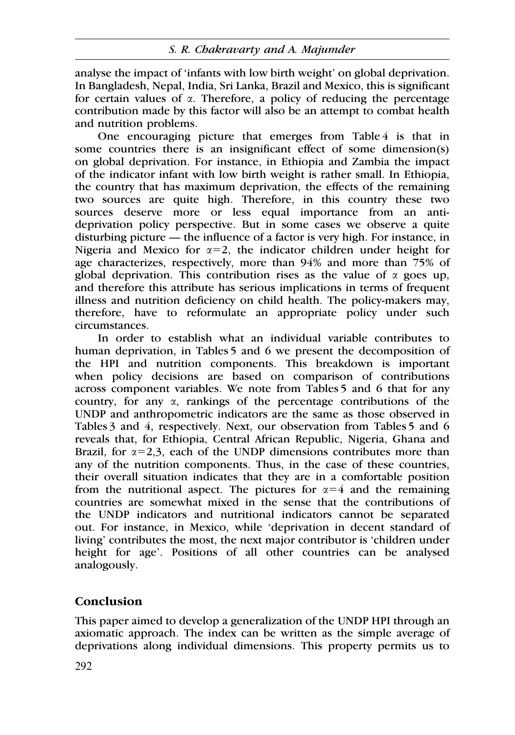analyse the impact of 'infants with low birth weight' on global deprivation. In Bangladesh, Nepal, India, Sri Lanka, Brazil and Mexico, this is significant for certain values of  $\alpha$ . Therefore, a policy of reducing the percentage contribution made by this factor will also be an attempt to combat health and nutrition problems.

One encouraging picture that emerges from Table 4 is that in some countries there is an insignificant effect of some dimension(s) on global deprivation. For instance, in Ethiopia and Zambia the impact of the indicator infant with low birth weight is rather small. In Ethiopia, the country that has maximum deprivation, the effects of the remaining two sources are quite high. Therefore, in this country these two sources deserve more or less equal importance from an antideprivation policy perspective. But in some cases we observe a quite disturbing picture — the influence of a factor is very high. For instance, in Nigeria and Mexico for  $\alpha=2$ , the indicator children under height for age characterizes, respectively, more than 94% and more than 75% of global deprivation. This contribution rises as the value of  $\alpha$  goes up, and therefore this attribute has serious implications in terms of frequent illness and nutrition deficiency on child health. The policy-makers may, therefore, have to reformulate an appropriate policy under such circumstances.

In order to establish what an individual variable contributes to human deprivation, in Tables 5 and 6 we present the decomposition of the HPI and nutrition components. This breakdown is important when policy decisions are based on comparison of contributions across component variables. We note from Tables 5 and 6 that for any country, for any  $\alpha$ , rankings of the percentage contributions of the UNDP and anthropometric indicators are the same as those observed in Tables 3 and 4, respectively. Next, our observation from Tables 5 and 6 reveals that, for Ethiopia, Central African Republic, Nigeria, Ghana and Brazil, for  $\alpha=2.3$ , each of the UNDP dimensions contributes more than any of the nutrition components. Thus, in the case of these countries, their overall situation indicates that they are in a comfortable position from the nutritional aspect. The pictures for  $\alpha=4$  and the remaining countries are somewhat mixed in the sense that the contributions of the UNDP indicators and nutritional indicators cannot be separated out. For instance, in Mexico, while 'deprivation in decent standard of living' contributes the most, the next major contributor is 'children under height for age'. Positions of all other countries can be analysed analogously.

# **Conclusion**

This paper aimed to develop a generalization of the UNDP HPI through an axiomatic approach. The index can be written as the simple average of deprivations along individual dimensions. This property permits us to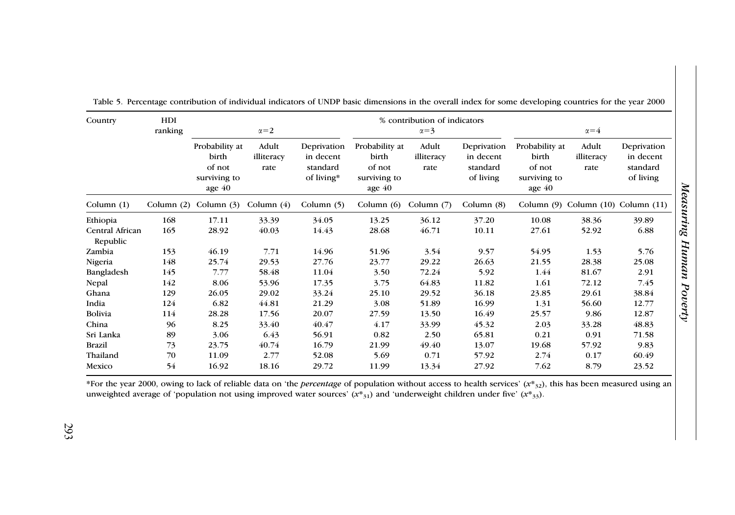| Country                     | <b>HDI</b><br>ranking |                                                             | $\alpha = 2$                |                                                    |                                                               | % contribution of indicators<br>$\alpha = 3$ |                                                   | $\alpha = 4$                                                  |                                    |                                                   |
|-----------------------------|-----------------------|-------------------------------------------------------------|-----------------------------|----------------------------------------------------|---------------------------------------------------------------|----------------------------------------------|---------------------------------------------------|---------------------------------------------------------------|------------------------------------|---------------------------------------------------|
|                             |                       | Probability at<br>birth<br>of not<br>surviving to<br>age 40 | Adult<br>illiteracy<br>rate | Deprivation<br>in decent<br>standard<br>of living* | Probability at<br>birth<br>of not<br>surviving to<br>age $40$ | Adult<br>illiteracy<br>rate                  | Deprivation<br>in decent<br>standard<br>of living | Probability at<br>birth<br>of not<br>surviving to<br>age $40$ | Adult<br>illiteracy<br>rate        | Deprivation<br>in decent<br>standard<br>of living |
| Column $(1)$                | Column $(2)$          | Column $(3)$                                                | Column $(4)$                | Column (5)                                         | Column $(6)$                                                  | Column $(7)$                                 | Column $(8)$                                      |                                                               | Column (9) Column (10) Column (11) |                                                   |
| Ethiopia                    | 168                   | 17.11                                                       | 33.39                       | 34.05                                              | 13.25                                                         | 36.12                                        | 37.20                                             | 10.08                                                         | 38.36                              | 39.89                                             |
| Central African<br>Republic | 165                   | 28.92                                                       | 40.03                       | 14.43                                              | 28.68                                                         | 46.71                                        | 10.11                                             | 27.61                                                         | 52.92                              | 6.88                                              |
| Zambia                      | 153                   | 46.19                                                       | 7.71                        | 14.96                                              | 51.96                                                         | 3.54                                         | 9.57                                              | 54.95                                                         | 1.53                               | 5.76                                              |
| Nigeria                     | 148                   | 25.74                                                       | 29.53                       | 27.76                                              | 23.77                                                         | 29.22                                        | 26.63                                             | 21.55                                                         | 28.38                              | 25.08                                             |
| Bangladesh                  | 145                   | 7.77                                                        | 58.48                       | 11.04                                              | 3.50                                                          | 72.24                                        | 5.92                                              | 1.44                                                          | 81.67                              | 2.91                                              |
| Nepal                       | 142                   | 8.06                                                        | 53.96                       | 17.35                                              | 3.75                                                          | 64.83                                        | 11.82                                             | 1.61                                                          | 72.12                              | 7.45                                              |
| Ghana                       | 129                   | 26.05                                                       | 29.02                       | 33.24                                              | 25.10                                                         | 29.52                                        | 36.18                                             | 23.85                                                         | 29.61                              | 38.84                                             |
| India                       | 124                   | 6.82                                                        | 44.81                       | 21.29                                              | 3.08                                                          | 51.89                                        | 16.99                                             | 1.31                                                          | 56.60                              | 12.77                                             |
| <b>Bolivia</b>              | 114                   | 28.28                                                       | 17.56                       | 20.07                                              | 27.59                                                         | 13.50                                        | 16.49                                             | 25.57                                                         | 9.86                               | 12.87                                             |
| China                       | 96                    | 8.25                                                        | 33.40                       | 40.47                                              | 4.17                                                          | 33.99                                        | 45.32                                             | 2.03                                                          | 33.28                              | 48.83                                             |
| Sri Lanka                   | 89                    | 3.06                                                        | 6.43                        | 56.91                                              | 0.82                                                          | 2.50                                         | 65.81                                             | 0.21                                                          | 0.91                               | 71.58                                             |
| <b>Brazil</b>               | 73                    | 23.75                                                       | 40.74                       | 16.79                                              | 21.99                                                         | 49.40                                        | 13.07                                             | 19.68                                                         | 57.92                              | 9.83                                              |
| Thailand                    | 70                    | 11.09                                                       | 2.77                        | 52.08                                              | 5.69                                                          | 0.71                                         | 57.92                                             | 2.74                                                          | 0.17                               | 60.49                                             |
| Mexico                      | 54                    | 16.92                                                       | 18.16                       | 29.72                                              | 11.99                                                         | 13.34                                        | 27.92                                             | 7.62                                                          | 8.79                               | 23.52                                             |

Table 5. Percentage contribution of individual indicators of UNDP basic dimensions in the overall index for some developing countries for the year 2000

\*For the year 2000, owing to lack of reliable data on 'the *percentage* of population without access to health services' ( $x*_{32}$ ), this has been measured using an unweighted average of 'population not using improved water sources'  $(x*_{31})$  and 'underweight children under five'  $(x*_{33})$ .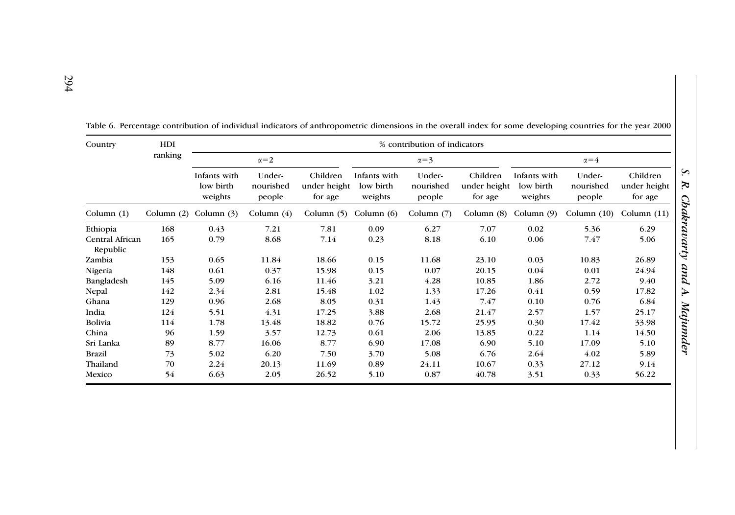| Country                     | HDI          | % contribution of indicators         |                               |                                     |                                      |                               |                                     |                                      |                               |                                     |  |  |
|-----------------------------|--------------|--------------------------------------|-------------------------------|-------------------------------------|--------------------------------------|-------------------------------|-------------------------------------|--------------------------------------|-------------------------------|-------------------------------------|--|--|
|                             | ranking      | $\alpha = 2$                         |                               |                                     |                                      | $\alpha = 3$                  |                                     | $\alpha = 4$                         |                               |                                     |  |  |
|                             |              | Infants with<br>low birth<br>weights | Under-<br>nourished<br>people | Children<br>under height<br>for age | Infants with<br>low birth<br>weights | Under-<br>nourished<br>people | Children<br>under height<br>for age | Infants with<br>low birth<br>weights | Under-<br>nourished<br>people | Children<br>under height<br>for age |  |  |
| Column $(1)$                | Column $(2)$ | Column $(3)$                         | Column $(4)$                  | Column $(5)$                        | Column $(6)$                         | Column $(7)$                  | Column $(8)$                        | Column $(9)$                         | Column $(10)$                 | Column $(11)$                       |  |  |
| Ethiopia                    | 168          | 0.43                                 | 7.21                          | 7.81                                | 0.09                                 | 6.27                          | 7.07                                | 0.02                                 | 5.36                          | 6.29                                |  |  |
| Central African<br>Republic | 165          | 0.79                                 | 8.68                          | 7.14                                | 0.23                                 | 8.18                          | 6.10                                | 0.06                                 | 7.47                          | 5.06                                |  |  |
| Zambia                      | 153          | 0.65                                 | 11.84                         | 18.66                               | 0.15                                 | 11.68                         | 23.10                               | 0.03                                 | 10.83                         | 26.89                               |  |  |
| Nigeria                     | 148          | 0.61                                 | 0.37                          | 15.98                               | 0.15                                 | 0.07                          | 20.15                               | 0.04                                 | 0.01                          | 24.94                               |  |  |
| Bangladesh                  | 145          | 5.09                                 | 6.16                          | 11.46                               | 3.21                                 | 4.28                          | 10.85                               | 1.86                                 | 2.72                          | 9.40                                |  |  |
| Nepal                       | 142          | 2.34                                 | 2.81                          | 15.48                               | 1.02                                 | 1.33                          | 17.26                               | 0.41                                 | 0.59                          | 17.82                               |  |  |
| Ghana                       | 129          | 0.96                                 | 2.68                          | 8.05                                | 0.31                                 | 1.43                          | 7.47                                | 0.10                                 | 0.76                          | 6.84                                |  |  |
| India                       | 124          | 5.51                                 | 4.31                          | 17.25                               | 3.88                                 | 2.68                          | 21.47                               | 2.57                                 | 1.57                          | 25.17                               |  |  |
| Bolivia                     | 114          | 1.78                                 | 13.48                         | 18.82                               | 0.76                                 | 15.72                         | 25.95                               | 0.30                                 | 17.42                         | 33.98                               |  |  |
| China                       | 96           | 1.59                                 | 3.57                          | 12.73                               | 0.61                                 | 2.06                          | 13.85                               | 0.22                                 | 1.14                          | 14.50                               |  |  |
| Sri Lanka                   | 89           | 8.77                                 | 16.06                         | 8.77                                | 6.90                                 | 17.08                         | 6.90                                | 5.10                                 | 17.09                         | 5.10                                |  |  |
| <b>Brazil</b>               | 73           | 5.02                                 | 6.20                          | 7.50                                | 3.70                                 | 5.08                          | 6.76                                | 2.64                                 | 4.02                          | 5.89                                |  |  |
| Thailand                    | 70           | 2.24                                 | 20.13                         | 11.69                               | 0.89                                 | 24.11                         | 10.67                               | 0.33                                 | 27.12                         | 9.14                                |  |  |
| Mexico                      | 54           | 6.63                                 | 2.05                          | 26.52                               | 5.10                                 | 0.87                          | 40.78                               | 3.51                                 | 0.33                          | 56.22                               |  |  |

Table 6. Percentage contribution of individual indicators of anthropometric dimensions in the overall index for some developing countries for the year 2000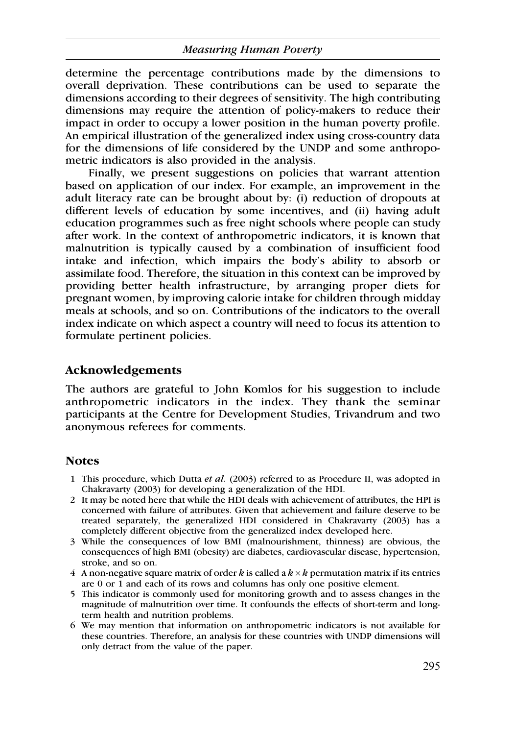determine the percentage contributions made by the dimensions to overall deprivation. These contributions can be used to separate the dimensions according to their degrees of sensitivity. The high contributing dimensions may require the attention of policy-makers to reduce their impact in order to occupy a lower position in the human poverty profile. An empirical illustration of the generalized index using cross-country data for the dimensions of life considered by the UNDP and some anthropometric indicators is also provided in the analysis.

Finally, we present suggestions on policies that warrant attention based on application of our index. For example, an improvement in the adult literacy rate can be brought about by: (i) reduction of dropouts at different levels of education by some incentives, and (ii) having adult education programmes such as free night schools where people can study after work. In the context of anthropometric indicators, it is known that malnutrition is typically caused by a combination of insufficient food intake and infection, which impairs the body's ability to absorb or assimilate food. Therefore, the situation in this context can be improved by providing better health infrastructure, by arranging proper diets for pregnant women, by improving calorie intake for children through midday meals at schools, and so on. Contributions of the indicators to the overall index indicate on which aspect a country will need to focus its attention to formulate pertinent policies.

# Acknowledgements

The authors are grateful to John Komlos for his suggestion to include anthropometric indicators in the index. They thank the seminar participants at the Centre for Development Studies, Trivandrum and two anonymous referees for comments.

#### **Notes**

- 1 This procedure, which Dutta et al. (2003) referred to as Procedure II, was adopted in Chakravarty (2003) for developing a generalization of the HDI.
- 2 It may be noted here that while the HDI deals with achievement of attributes, the HPI is concerned with failure of attributes. Given that achievement and failure deserve to be treated separately, the generalized HDI considered in Chakravarty (2003) has a completely different objective from the generalized index developed here.
- 3 While the consequences of low BMI (malnourishment, thinness) are obvious, the consequences of high BMI (obesity) are diabetes, cardiovascular disease, hypertension, stroke, and so on.
- 4 A non-negative square matrix of order k is called a  $k \times k$  permutation matrix if its entries are 0 or 1 and each of its rows and columns has only one positive element.
- 5 This indicator is commonly used for monitoring growth and to assess changes in the magnitude of malnutrition over time. It confounds the effects of short-term and longterm health and nutrition problems.
- 6 We may mention that information on anthropometric indicators is not available for these countries. Therefore, an analysis for these countries with UNDP dimensions will only detract from the value of the paper.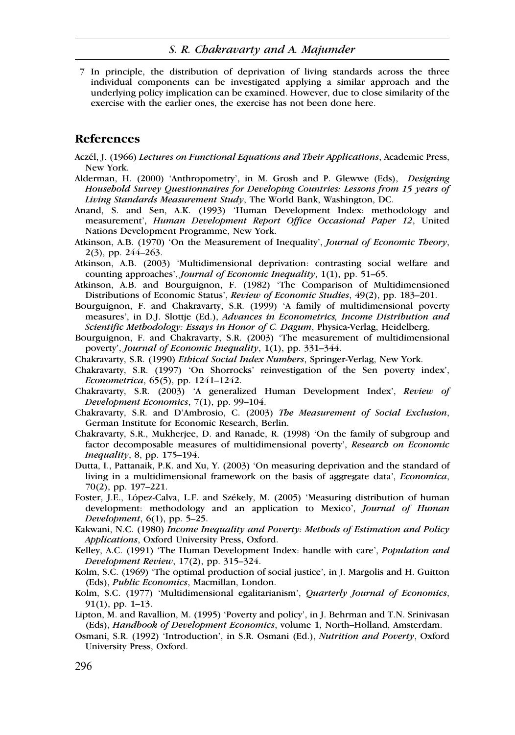#### S. R. Chakravarty and A. Majumder

7 In principle, the distribution of deprivation of living standards across the three individual components can be investigated applying a similar approach and the underlying policy implication can be examined. However, due to close similarity of the exercise with the earlier ones, the exercise has not been done here.

#### References

- Aczél, J. (1966) Lectures on Functional Equations and Their Applications, Academic Press, New York.
- Alderman, H. (2000) 'Anthropometry', in M. Grosh and P. Glewwe (Eds), Designing Household Survey Questionnaires for Developing Countries: Lessons from 15 years of Living Standards Measurement Study, The World Bank, Washington, DC.
- Anand, S. and Sen, A.K. (1993) 'Human Development Index: methodology and measurement', Human Development Report Office Occasional Paper 12, United Nations Development Programme, New York.
- Atkinson, A.B. (1970) 'On the Measurement of Inequality', Journal of Economic Theory, 2(3), pp. 244–263.
- Atkinson, A.B. (2003) 'Multidimensional deprivation: contrasting social welfare and counting approaches', Journal of Economic Inequality, 1(1), pp. 51–65.
- Atkinson, A.B. and Bourguignon, F. (1982) 'The Comparison of Multidimensioned Distributions of Economic Status', Review of Economic Studies, 49(2), pp. 183–201.
- Bourguignon, F. and Chakravarty, S.R. (1999) 'A family of multidimensional poverty measures', in D.J. Slottje (Ed.), Advances in Econometrics, Income Distribution and Scientific Methodology: Essays in Honor of C. Dagum, Physica-Verlag, Heidelberg.
- Bourguignon, F. and Chakravarty, S.R. (2003) 'The measurement of multidimensional poverty', Journal of Economic Inequality, 1(1), pp. 331-344.
- Chakravarty, S.R. (1990) Ethical Social Index Numbers, Springer-Verlag, New York.
- Chakravarty, S.R. (1997) 'On Shorrocks' reinvestigation of the Sen poverty index', Econometrica, 65(5), pp. 1241–1242.
- Chakravarty, S.R. (2003) 'A generalized Human Development Index', Review of Development Economics, 7(1), pp. 99–104.
- Chakravarty, S.R. and D'Ambrosio, C. (2003) The Measurement of Social Exclusion, German Institute for Economic Research, Berlin.
- Chakravarty, S.R., Mukherjee, D. and Ranade, R. (1998) 'On the family of subgroup and factor decomposable measures of multidimensional poverty', Research on Economic Inequality, 8, pp.  $175-194$ .
- Dutta, I., Pattanaik, P.K. and Xu, Y. (2003) 'On measuring deprivation and the standard of living in a multidimensional framework on the basis of aggregate data', Economica, 70(2), pp. 197–221.
- Foster, J.E., López-Calva, L.F. and Székely, M. (2005) 'Measuring distribution of human development: methodology and an application to Mexico', Journal of Human Development, 6(1), pp. 5–25.
- Kakwani, N.C. (1980) Income Inequality and Poverty: Methods of Estimation and Policy Applications, Oxford University Press, Oxford.
- Kelley, A.C. (1991) 'The Human Development Index: handle with care', Population and Development Review, 17(2), pp. 315–324.
- Kolm, S.C. (1969) 'The optimal production of social justice', in J. Margolis and H. Guitton (Eds), Public Economics, Macmillan, London.
- Kolm, S.C. (1977) 'Multidimensional egalitarianism', Quarterly Journal of Economics, 91(1), pp. 1–13.
- Lipton, M. and Ravallion, M. (1995) 'Poverty and policy', in J. Behrman and T.N. Srinivasan (Eds), Handbook of Development Economics, volume 1, North–Holland, Amsterdam.
- Osmani, S.R. (1992) 'Introduction', in S.R. Osmani (Ed.), Nutrition and Poverty, Oxford University Press, Oxford.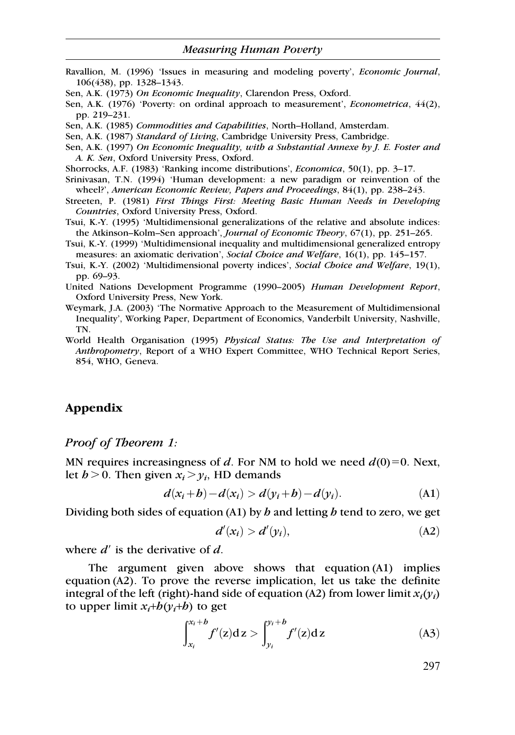- Ravallion, M. (1996) 'Issues in measuring and modeling poverty', Economic Journal, 106(438), pp. 1328–1343.
- Sen, A.K. (1973) On Economic Inequality, Clarendon Press, Oxford.
- Sen, A.K. (1976) 'Poverty: on ordinal approach to measurement', Econometrica, 44(2), pp. 219–231.
- Sen, A.K. (1985) Commodities and Capabilities, North–Holland, Amsterdam.
- Sen, A.K. (1987) Standard of Living, Cambridge University Press, Cambridge.
- Sen, A.K. (1997) On Economic Inequality, with a Substantial Annexe by J. E. Foster and A. K. Sen, Oxford University Press, Oxford.
- Shorrocks, A.F. (1983) 'Ranking income distributions', Economica, 50(1), pp. 3–17.
- Srinivasan, T.N. (1994) 'Human development: a new paradigm or reinvention of the wheel?', American Economic Review, Papers and Proceedings, 84(1), pp. 238–243.
- Streeten, P. (1981) First Things First: Meeting Basic Human Needs in Developing Countries, Oxford University Press, Oxford.
- Tsui, K.-Y. (1995) 'Multidimensional generalizations of the relative and absolute indices: the Atkinson–Kolm–Sen approach', Journal of Economic Theory, 67(1), pp. 251–265.
- Tsui, K.-Y. (1999) 'Multidimensional inequality and multidimensional generalized entropy measures: an axiomatic derivation', Social Choice and Welfare, 16(1), pp. 145–157.
- Tsui, K.-Y. (2002) 'Multidimensional poverty indices', Social Choice and Welfare, 19(1), pp. 69–93.
- United Nations Development Programme (1990–2005) Human Development Report, Oxford University Press, New York.
- Weymark, J.A. (2003) 'The Normative Approach to the Measurement of Multidimensional Inequality', Working Paper, Department of Economics, Vanderbilt University, Nashville, TN.
- World Health Organisation (1995) Physical Status: The Use and Interpretation of Anthropometry, Report of a WHO Expert Committee, WHO Technical Report Series, 854, WHO, Geneva.

#### Appendix

#### Proof of Theorem 1:

MN requires increasingness of d. For NM to hold we need  $d(0)=0$ . Next, let  $b > 0$ . Then given  $x_i > y_i$ , HD demands

$$
d(x_i + b) - d(x_i) > d(y_i + b) - d(y_i).
$$
 (A1)

Dividing both sides of equation (A1) by h and letting h tend to zero, we get

$$
d'(x_i) > d'(y_i), \tag{A2}
$$

where  $d'$  is the derivative of d.

The argument given above shows that equation (A1) implies equation (A2). To prove the reverse implication, let us take the definite integral of the left (right)-hand side of equation (A2) from lower limit  $x_i(y_i)$ to upper limit  $x_i+b(y_i+b)$  to get

$$
\int_{x_i}^{x_i+b} f'(z)dz > \int_{y_i}^{y_i+b} f'(z)dz \tag{A3}
$$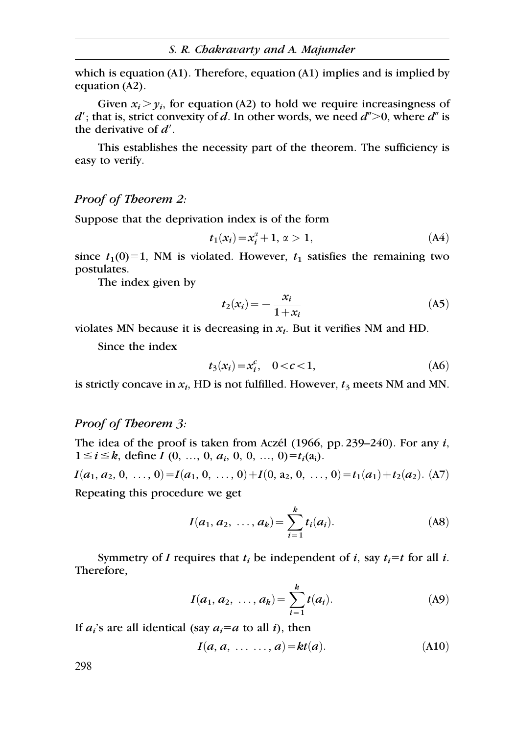which is equation (A1). Therefore, equation (A1) implies and is implied by equation (A2).

Given  $x_i > y_i$ , for equation (A2) to hold we require increasingness of  $d'$ ; that is, strict convexity of d. In other words, we need  $d''>0$ , where  $d''$  is the derivative of  $d'$ .

This establishes the necessity part of the theorem. The sufficiency is easy to verify.

#### Proof of Theorem 2:

Suppose that the deprivation index is of the form

$$
t_1(x_i) = x_i^{\alpha} + 1, \, \alpha > 1,\tag{A4}
$$

since  $t_1(0)=1$ , NM is violated. However,  $t_1$  satisfies the remaining two postulates.

The index given by

$$
t_2(x_i) = -\frac{x_i}{1 + x_i} \tag{A5}
$$

violates MN because it is decreasing in  $x_i$ . But it verifies NM and HD.

Since the index

$$
t_3(x_i) = x_i^c, \quad 0 < c < 1,\tag{A6}
$$

is strictly concave in  $x_i$ , HD is not fulfilled. However,  $t_3$  meets NM and MN.

#### Proof of Theorem 3:

The idea of the proof is taken from Aczél (1966, pp. 239–240). For any  $i$ ,  $1 \le i \le k$ , define  $I (0, ..., 0, a_i, 0, 0, ..., 0) = t_i(a_i)$ .

$$
I(a_1, a_2, 0, \ldots, 0) = I(a_1, 0, \ldots, 0) + I(0, a_2, 0, \ldots, 0) = t_1(a_1) + t_2(a_2).
$$
 (A7)

Repeating this procedure we get

$$
I(a_1, a_2, \ldots, a_k) = \sum_{i=1}^k t_i(a_i).
$$
 (A8)

Symmetry of I requires that  $t_i$  be independent of i, say  $t_i = t$  for all i. Therefore,

$$
I(a_1, a_2, \ldots, a_k) = \sum_{i=1}^k t(a_i).
$$
 (A9)

If  $a_i$ 's are all identical (say  $a_i=a$  to all i), then

$$
I(a, a, \ldots \ldots, a) = kt(a). \tag{A10}
$$

298